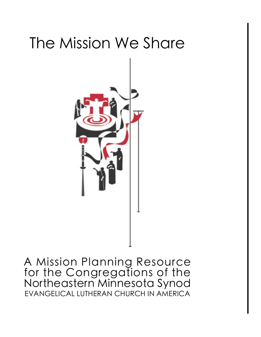# The Mission We Share



A Mission Planning Resource<br>for the Congregations of the<br>Northeastern Minnesota Synod EVANGELICAL LUTHERAN CHURCH IN AMERICA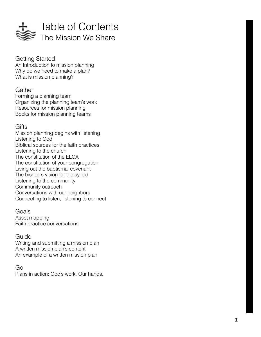

## Getting Started

An Introduction to mission planning Why do we need to make a plan? What is mission planning?

### **Gather**

Forming a planning team Organizing the planning team's work Resources for mission planning Books for mission planning teams

### Gifts

Mission planning begins with listening Listening to God Biblical sources for the faith practices Listening to the church The constitution of the ELCA The constitution of your congregation Living out the baptismal covenant The bishop's vision for the synod Listening to the community Community outreach Conversations with our neighbors Connecting to listen, listening to connect

### Goals

Asset mapping Faith practice conversations

### Guide

Writing and submitting a mission plan A written mission plan's content An example of a written mission plan

# Go

Plans in action: God's work. Our hands.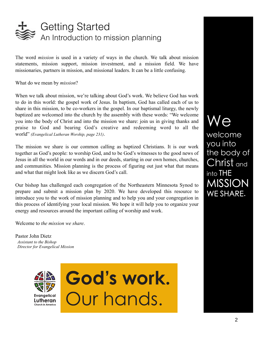

The word *mission* is used in a variety of ways in the church. We talk about mission statements, mission support, mission investment, and a mission field. We have missionaries, partners in mission, and missional leaders. It can be a little confusing.

What do we mean by *mission*?

When we talk about mission, we're talking about God's work. We believe God has work to do in this world: the gospel work of Jesus. In baptism, God has called each of us to share in this mission, to be co-workers in the gospel. In our baptismal liturgy, the newly baptized are welcomed into the church by the assembly with these words: "We welcome you into the body of Christ and into the mission we share: join us in giving thanks and praise to God and bearing God's creative and redeeming word to all the world" *(Evangelical Lutheran Worship, page 231)*.

The mission we share is our common calling as baptized Christians. It is our work together as God's people: to worship God, and to be God's witnesses to the good news of Jesus in all the world in our words and in our deeds, starting in our own homes, churches, and communities. Mission planning is the process of figuring out just what that means and what that might look like as we discern God's call.

Our bishop has challenged each congregation of the Northeastern Minnesota Synod to prepare and submit a mission plan by 2020. We have developed this resource to introduce you to the work of mission planning and to help you and your congregation in this process of identifying your local mission. We hope it will help you to organize your energy and resources around the important calling of worship and work.

Welcome to *the mission we share*.

Pastor John Dietz *Assistant to the Bishop Director for Evangelical Mission*



God's work. Our hands.

 $\Theta$ welcome you into the body of Christ and into **THE MISSION** WE SHARE.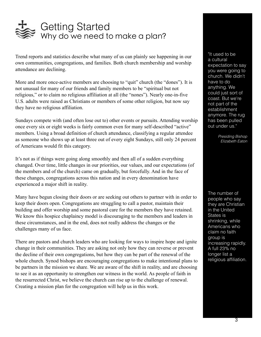

Trend reports and statistics describe what many of us can plainly see happening in our own communities, congregations, and families. Both church membership and worship attendance are declining.

More and more once-active members are choosing to "quit" church (the "dones"). It is not unusual for many of our friends and family members to be "spiritual but not religious," or to claim no religious affiliation at all (the "nones"). Nearly one-in-five U.S. adults were raised as Christians or members of some other religion, but now say they have no religious affiliation.

Sundays compete with (and often lose out to) other events or pursuits. Attending worship once every six or eight weeks is fairly common even for many self-described "active" members. Using a broad definition of church attendance, classifying a regular attendee as someone who shows up at least three out of every eight Sundays, still only 24 percent of Americans would fit this category.

It's not as if things were going along smoothly and then all of a sudden everything changed. Over time, little changes in our priorities, our values, and our expectations (of the members and of the church) came on gradually, but forcefully. And in the face of these changes, congregations across this nation and in every denomination have experienced a major shift in reality.

Many have begun closing their doors or are seeking out others to partner with in order to keep their doors open. Congregations are struggling to call a pastor, maintain their building and offer worship and some pastoral care for the members they have retained. We know this hospice chaplaincy model is discouraging to the members and leaders in these circumstances, and in the end, does not really address the changes or the challenges many of us face.

There are pastors and church leaders who are looking for ways to inspire hope and ignite change in their communities. They are asking not only how they can reverse or prevent the decline of their own congregations, but how they can be part of the renewal of the whole church. Synod bishops are encouraging congregations to make intentional plans to be partners in the mission we share. We are aware of the shift in reality, and are choosing to see it as an opportunity to strengthen our witness in the world. As people of faith in the resurrected Christ, we believe the church can rise up to the challenge of renewal. Creating a mission plan for the congregation will help us in this work.

"It used to be a cultural expectation to say you were going to church. We didn't have to do anything. We could just sort of coast. But we're not part of the establishment anymore. The rug has been pulled out under us."

> *Presiding Bishop Elizabeth Eaton*

The number of people who say they are Christian in the United States is shrinking, while Americans who claim no faith group is increasing rapidly. A full 23% no longer list a religious affiliation.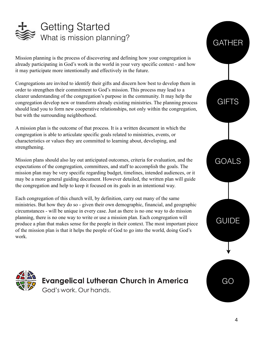

Mission planning is the process of discovering and defining how your congregation is already participating in God's work in the world in your very specific context - and how it may participate more intentionally and effectively in the future.

Congregations are invited to identify their gifts and discern how best to develop them in order to strengthen their commitment to God's mission. This process may lead to a clearer understanding of the congregation's purpose in the community. It may help the congregation develop new or transform already existing ministries. The planning process should lead you to form new cooperative relationships, not only within the congregation, but with the surrounding neighborhood.

A mission plan is the outcome of that process. It is a written document in which the congregation is able to articulate specific goals related to ministries, events, or characteristics or values they are committed to learning about, developing, and strengthening.

Mission plans should also lay out anticipated outcomes, criteria for evaluation, and the expectations of the congregation, committees, and staff to accomplish the goals. The mission plan may be very specific regarding budget, timelines, intended audiences, or it may be a more general guiding document. However detailed, the written plan will guide the congregation and help to keep it focused on its goals in an intentional way.

Each congregation of this church will, by definition, carry out many of the same ministries. But how they do so - given their own demographic, financial, and geographic circumstances - will be unique in every case. Just as there is no one way to do mission planning, there is no one way to write or use a mission plan. Each congregation will produce a plan that makes sense for the people in their context. The most important piece of the mission plan is that it helps the people of God to go into the world, doing God's work.



**GIFTS** 

**GATHER** 

GOALS



# **Evangelical Lutheran Church in America** God's work, Our hands,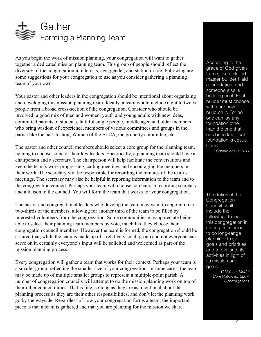

As you begin the work of mission planning, your congregation will want to gather together a dedicated mission planning team. This group of people should reflect the diversity of the congregation in interests, age, gender, and station in life. Following are some suggestions for your congregation to use as you consider gathering a planning team of your own.

Your pastor and other leaders in the congregation should be intentional about organizing and developing this mission planning team. Ideally, a team would include eight to twelve people from a broad cross-section of the congregation. Consider who should be involved: a good mix of men and women, youth and young adults with new ideas, committed parents of students, faithful single people, middle aged and older members who bring wisdom of experience, members of various committees and groups in the parish like the parish choir, Women of the ELCA, the property committee, etc..

The pastor and other council members should select a core group for the planning team, helping to choose some of their key leaders. Specifically, a planning team should have a chairperson and a secretary. The chairperson will help facilitate the conversations and keep the team's work progressing, calling meetings and encouraging the members in their work. The secretary will be responsible for recording the minutes of the team's meetings. The secretary may also be helpful in reporting information to the team and to the congregation council. Perhaps your team will choose co-chairs, a recording secretary, and a liaison to the council. You will form the team that works for your congregation.

The pastor and congregational leaders who develop the team may want to appoint up to two-thirds of the members, allowing for another third of the team to be filled by interested volunteers from the congregation. Some communities may appreciate being able to select their planning team members by vote, much like they choose their congregation council members. However the team is formed, the congregation should be assured that, while the team is made up of a relatively small group and not everyone can serve on it, certainly everyone's input will be solicited and welcomed as part of the mission planning process.

Every congregation will gather a team that works for their context. Perhaps your team is a smaller group, reflecting the smaller size of your congregation. In some cases, the team may be made up of multiple smaller groups to represent a multiple-point parish. A number of congregation councils will attempt to do the mission planning work on top of their other council duties. That is fine, so long as they are as intentional about the planning process as they are their other responsibilities, and don't let the planning work go by the wayside. Regardless of how your congregation forms a team, the important piece is that a team is gathered and that you are planning for the mission we share.

According to the grace of God given to me, like a skilled master builder I laid a foundation, and someone else is building on it. Each builder must choose with care how to build on it. For no one can lay any foundation other than the one that has been laid; that foundation is Jesus Christ.

*1 Corinthians 3:10-11*

The duties of the **Congregation** Council shall include the following: To lead this congregation in stating its mission, to do long-range planning, to set goals and priorities, and to evaluate its activities in light of its mission and goals.

> *C12.04.a. Model Constitution for ELCA Congregations*

> > 5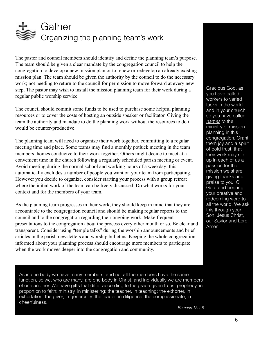# Gather Organizing the planning team's work

The pastor and council members should identify and define the planning team's purpose. The team should be given a clear mandate by the congregation council to help the congregation to develop a new mission plan or to renew or redevelop an already existing mission plan. The team should be given the authority by the council to do the necessary work; not needing to return to the council for permission to move forward at every new step. The pastor may wish to install the mission planning team for their work during a regular public worship service.

The council should commit some funds to be used to purchase some helpful planning resources or to cover the costs of hosting an outside speaker or facilitator. Giving the team the authority and mandate to do the planning work without the resources to do it would be counter-productive.

The planning team will need to organize their work together, committing to a regular meeting time and place. Some teams may find a monthly potluck meeting in the team members' homes conducive to their work together. Others might decide to meet at a convenient time in the church following a regularly scheduled parish meeting or event. Avoid meeting during the normal school and working hours of a weekday; this automatically excludes a number of people you want on your team from participating. However you decide to organize, consider starting your process with a group retreat where the initial work of the team can be freely discussed. Do what works for your context and for the members of your team.

As the planning team progresses in their work, they should keep in mind that they are accountable to the congregation council and should be making regular reports to the council and to the congregation regarding their ongoing work. Make frequent presentations to the congregation about the process every other month or so. Be clear and transparent. Consider using "temple talks" during the worship announcements and brief articles in the parish newsletters and worship bulletins. Keeping the whole congregation informed about your planning process should encourage more members to participate when the work moves deeper into the congregation and community.

As in one body we have many members, and not all the members have the same function, so we, who are many, are one body in Christ, and individually we are members of one another. We have gifts that differ according to the grace given to us: prophecy, in proportion to faith; ministry, in ministering; the teacher, in teaching; the exhorter, in exhortation; the giver, in generosity; the leader, in diligence; the compassionate, in cheerfulness.

Gracious God, as you have called workers to varied tasks in the world and in your church, so you have called *names* to the ministry of mission planning in this congregation. Grant them joy and a spirit of bold trust, that their work may stir up in each of us a passion for the mission we share: giving thanks and praise to you, O God, and bearing your creative and redeeming word to all the world. We ask this through your Son, Jesus Christ, our Savior and Lord. Amen.

*Romans 12:4-8*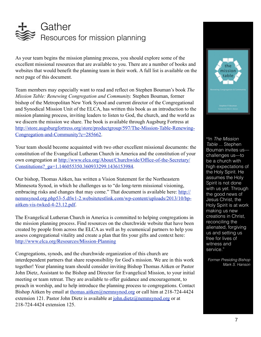

As your team begins the mission planning process, you should explore some of the excellent missional resources that are available to you. There are a number of books and websites that would benefit the planning team in their work. A full list is available on the next page of this document.

Team members may especially want to read and reflect on Stephen Bouman's book *The Mission Table: Renewing Congregation and Community.* Stephen Bouman, former bishop of the Metropolitan New York Synod and current director of the Congregational and Synodical Mission Unit of the ELCA, has written this book as an introduction to the mission planning process, inviting leaders to listen to God, the church, and the world as we discern the mission we share. The book is available through Augsburg Fortress at [http://store.augsburgfortress.org/store/productgroup/597/The-Mission-Table-Renewing-](http://store.augsburgfortress.org/store/productgroup/597/The-Mission-Table-Renewing-Congregation-and-Community?c=285662)[Congregation-and-Community?c=285662](http://store.augsburgfortress.org/store/productgroup/597/The-Mission-Table-Renewing-Congregation-and-Community?c=285662).

Your team should become acquainted with two other excellent missional documents: the constitution of the Evangelical Lutheran Church in America and the constitution of your own congregation at [http://www.elca.org/About/Churchwide/Office-of-the-Secretary/](http://www.elca.org/About/Churchwide/Office-of-the-Secretary/Constitutions?_ga=1.146055350.360933299.1436153984) [Constitutions?\\_ga=1.146055350.360933299.1436153984](http://www.elca.org/About/Churchwide/Office-of-the-Secretary/Constitutions?_ga=1.146055350.360933299.1436153984).

Our bishop, Thomas Aitken, has written a Vision Statement for the Northeastern Minnesota Synod, in which he challenges us to "do long-term missional visioning, embracing risks and changes that may come." That document is available here: [http://](http://nemnsynod.org.php53-5.dfw1-2.websitetestlink.com/wp-content/uploads/2013/10/bp-aitken-vis-twked-4-23.12.pdf) [nemnsynod.org.php53-5.dfw1-2.websitetestlink.com/wp-content/uploads/2013/10/bp](http://nemnsynod.org.php53-5.dfw1-2.websitetestlink.com/wp-content/uploads/2013/10/bp-aitken-vis-twked-4-23.12.pdf)[aitken-vis-twked-4-23.12.pdf.](http://nemnsynod.org.php53-5.dfw1-2.websitetestlink.com/wp-content/uploads/2013/10/bp-aitken-vis-twked-4-23.12.pdf)

The Evangelical Lutheran Church in America is committed to helping congregations in the mission planning process. Find resources on the churchwide website that have been created by people from across the ELCA as well as by ecumenical partners to help you assess congregational vitality and create a plan that fits your gifts and context here: <http://www.elca.org/Resources/Mission-Planning>

Congregations, synods, and the churchwide organization of this church are interdependent partners that share responsibility for God's mission. We are in this work together! Your planning team should consider inviting Bishop Thomas Aitken or Pastor John Dietz, Assistant to the Bishop and Director for Evangelical Mission, to your initial meeting or team retreat. They are available to offer guidance and encouragement, to preach in worship, and to help introduce the planning process to congregations. Contact Bishop Aitken by email at [thomas.aitken@nemnsynod.org](mailto:thomas.aitken@nemnsynod.org) or call him at 218-724-4424 extension 121. Pastor John Dietz is available at  $\overline{10}$ hn.dietz@nemnsynod.org or at 218-724-4424 extension 125.



"In *The Mission Table* ... Stephen Bouman invites us challenges us—to be a church with high expectations of the Holy Spirit. He assumes the Holy Spirit is not done with us yet. Through the good news of Jesus Christ, the Holy Spirit is at work making us new creations in Christ, reconciling the alienated, forgiving us and setting us free for lives of witness and service."

*Former Presiding Bishop Mark S. Hanson*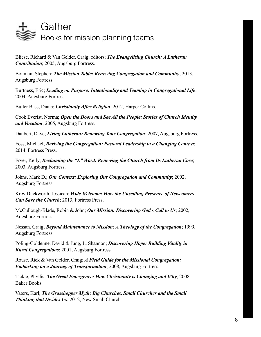

Bliese, Richard & Van Gelder, Craig, editors; *The Evangelizing Church: A Lutheran Contribution*; 2005, Augsburg Fortress.

Bouman, Stephen; *The Mission Table: Renewing Congregation and Community*; 2013, Augsburg Fortress.

Burtness, Eric; *Leading on Purpose: Intentionality and Teaming in Congregational Life*; 2004, Augsburg Fortress.

Butler Bass, Diana; *Christianity After Religion*; 2012, Harper Collins.

Cook Everist, Norma; *Open the Doors and See All the People: Stories of Church Identity and Vocation*; 2005, Augsburg Fortress.

Daubert, Dave; *Living Lutheran: Renewing Your Congregation*; 2007, Augsburg Fortress.

Foss, Michael; *Reviving the Congregation: Pastoral Leadership in a Changing Context*; 2014, Fortress Press.

Fryer, Kelly; *Reclaiming the "L" Word: Renewing the Church from Its Lutheran Core*; 2003, Augsburg Fortress.

Johns, Mark D.; *Our Context: Exploring Our Congregation and Community*; 2002, Augsburg Fortress.

Krey Duckworth, Jessicah; *Wide Welcome: How the Unsettling Presence of Newcomers Can Save the Church*; 2013, Fortress Press.

McCullough-Blade, Robin & John; *Our Mission: Discovering God's Call to Us*; 2002, Augsburg Fortress.

Nessan, Craig; *Beyond Maintenance to Mission: A Theology of the Congregation*; 1999, Augsburg Fortress.

Poling-Goldenne, David & Jung, L. Shannon; *Discovering Hope: Building Vitality in Rural Congregations*; 2001, Augsburg Fortress.

Rouse, Rick & Van Gelder, Craig; *A Field Guide for the Missional Congregation: Embarking on a Journey of Transformation*; 2008, Augsburg Fortress.

Tickle, Phyllis; *The Great Emergence: How Christianity is Changing and Why*; 2008, Baker Books.

Vaters, Karl; *The Grasshopper Myth: Big Churches, Small Churches and the Small Thinking that Divides Us*; 2012, New Small Church.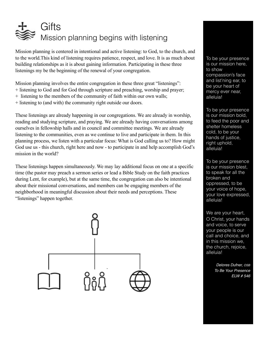# **Gifts** Mission planning begins with listening

Mission planning is centered in intentional and active listening: to God, to the church, and to the world.This kind of listening requires patience, respect, and love. It is as much about building relationships as it is about gaining information. Participating in these three listenings my be the beginning of the renewal of your congregation.

Mission planning involves the entire congregation in these three great "listenings": + listening to God and for God through scripture and preaching, worship and prayer;

- + listening to the members of the community of faith within our own walls;
- + listening to (and with) the community right outside our doors.

These listenings are already happening in our congregations. We are already in worship, reading and studying scripture, and praying. We are already having conversations among ourselves in fellowship halls and in council and committee meetings. We are already listening to the communities, even as we continue to live and participate in them. In this planning process, we listen with a particular focus: What is God calling us to? How might God use us - this church, right here and now - to participate in and help accomplish God's mission in the world?

These listenings happen simultaneously. We may lay additional focus on one at a specific time (the pastor may preach a sermon series or lead a Bible Study on the faith practices during Lent, for example), but at the same time, the congregation can also be intentional about their missional conversations, and members can be engaging members of the neighborhood in meaningful discussion about their needs and perceptions. These "listenings" happen together.



To be your presence is our mission here, to show compassion's face and list'ning ear, to be your heart of mercy ever near, alleluia!

To be your presence is our mission bold, to feed the poor and shelter homeless cold, to be your hands of justice, right uphold, alleluia!

To be your presence is our mission blest, to speak for all the broken and oppressed, to be your voice of hope, your love expressed, alleluia!

We are your heart, O Christ, your hands and voice, to serve your people is our call and choice, and in this mission we, the church, rejoice, alleluia!

> *Delores Dufner, OSB To Be Your Presence ELW # 546*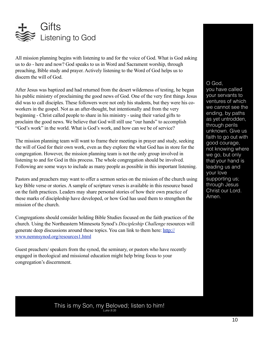

All mission planning begins with listening to and for the voice of God. What is God asking us to do - here and now? God speaks to us in Word and Sacrament worship, through preaching, Bible study and prayer. Actively listening to the Word of God helps us to discern the will of God.

After Jesus was baptized and had returned from the desert wilderness of testing, he began his public ministry of proclaiming the good news of God. One of the very first things Jesus did was to call disciples. These followers were not only his students, but they were his coworkers in the gospel. Not as an after-thought, but intentionally and from the very beginning - Christ called people to share in his ministry - using their varied gifts to proclaim the good news. We believe that God will still use "our hands" to accomplish "God's work" in the world. What is God's work, and how can we be of service?

The mission planning team will want to frame their meetings in prayer and study, seeking the will of God for their own work, even as they explore the what God has in store for the congregation. However, the mission planning team is not the only group involved in listening to and for God in this process. The whole congregation should be involved. Following are some ways to include as many people as possible in this important listening.

Pastors and preachers may want to offer a sermon series on the mission of the church using key Bible verse or stories. A sample of scripture verses is available in this resource based on the faith practices. Leaders may share personal stories of how their own practice of these marks of discipleship have developed, or how God has used them to strengthen the mission of the church.

Congregations should consider holding Bible Studies focused on the faith practices of the church. Using the Northeastern Minnesota Synod's *Discipleship Challenge* resources will generate deep discussions around these topics. You can link to them here: [http://](http://www.nemnsynod.org/resources1.html) [www.nemnsynod.org/resources1.html](http://www.nemnsynod.org/resources1.html)

Guest preachers/ speakers from the synod, the seminary, or pastors who have recently engaged in theological and missional education might help bring focus to your congregation's discernment.

#### O God,

you have called your servants to ventures of which we cannot see the ending, by paths as yet untrodden, through perils unknown. Give us faith to go out with good courage, not knowing where we go, but only that your hand is leading us and your love supporting us; through Jesus Christ our Lord. Amen.

This is my Son, my Beloved; listen to him! *Luke 9:35*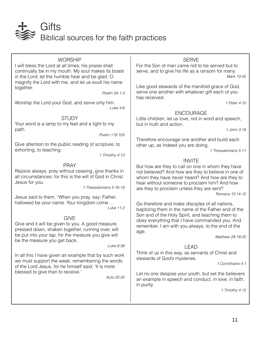

| <b>WORSHIP</b><br>I will bless the Lord at all times; his praise shall<br>continually be in my mouth. My soul makes its boast<br>in the Lord; let the humble hear and be glad. O<br>magnify the Lord with me, and let us exult his name<br>together. | <b>SERVE</b><br>For the Son of man came not to be served but to<br>serve, and to give his life as a ransom for many.<br>Mark 10:45<br>Like good stewards of the manifold grace of God,<br>serve one another with whatever gift each of you                 |
|------------------------------------------------------------------------------------------------------------------------------------------------------------------------------------------------------------------------------------------------------|------------------------------------------------------------------------------------------------------------------------------------------------------------------------------------------------------------------------------------------------------------|
| Psalm 34:1-3                                                                                                                                                                                                                                         | has received.                                                                                                                                                                                                                                              |
| Worship the Lord your God, and serve only him.<br>Luke 4:8                                                                                                                                                                                           | 1 Peter 4:10                                                                                                                                                                                                                                               |
| <b>STUDY</b>                                                                                                                                                                                                                                         | <b>ENCOURAGE</b>                                                                                                                                                                                                                                           |
| Your word is a lamp to my feet and a light to my                                                                                                                                                                                                     | Little children, let us love, not in word and speech,<br>but in truth and action.                                                                                                                                                                          |
| path.<br>Psalm 119:105                                                                                                                                                                                                                               | 1 John 3:18                                                                                                                                                                                                                                                |
| Give attention to the public reading of scripture, to                                                                                                                                                                                                | Therefore encourage one another and build each<br>other up, as indeed you are doing.                                                                                                                                                                       |
| exhorting, to teaching.<br>1 Timothy 4:13                                                                                                                                                                                                            | 1 Thessalonians 5:11                                                                                                                                                                                                                                       |
|                                                                                                                                                                                                                                                      | <b>INVITE</b>                                                                                                                                                                                                                                              |
| <b>PRAY</b><br>Rejoice always, pray without ceasing, give thanks in<br>all circumstances; for this is the will of God in Christ<br>Jesus for you.<br>1 Thessalonians 5:16-18                                                                         | But how are they to call on one in whom they have<br>not believed? And how are they to believe in one of<br>whom they have never heard? And how are they to<br>hear without someone to proclaim him? And how<br>are they to proclaim unless they are sent? |
| Jesus said to them, "When you pray, say: Father,<br>hallowed be your name. Your kingdom come                                                                                                                                                         | Romans 10:14-15<br>Go therefore and make disciples of all nations,                                                                                                                                                                                         |
| Luke 11:2<br><b>GIVE</b><br>Give and it will be given to you. A good measure,<br>pressed down, shaken together, running over, will<br>be put into your lap; for the measure you give will                                                            | baptizing them in the name of the Father and of the<br>Son and of the Holy Spirit, and teaching them to<br>obey everything that I have commanded you. And<br>remember, I am with you always, to the end of the<br>age.                                     |
| be the measure you get back.                                                                                                                                                                                                                         | Matthew 28:19-20                                                                                                                                                                                                                                           |
| Luke 6:38                                                                                                                                                                                                                                            | <b>LEAD</b>                                                                                                                                                                                                                                                |
| In all this I have given an example that by such work                                                                                                                                                                                                | Think of us in this way, as servants of Christ and<br>stewards of God's mysteries.                                                                                                                                                                         |
| we must support the weak, remembering the words<br>of the Lord Jesus, for he himself said, 'It is more                                                                                                                                               | 1 Corinthians 4:1                                                                                                                                                                                                                                          |
| blessed to give than to receive.'<br>Acts 20:35                                                                                                                                                                                                      | Let no one despise your youth, but set the believers<br>an example in speech and conduct, in love, in faith,<br>in purity.                                                                                                                                 |
|                                                                                                                                                                                                                                                      | 1 Timothy 4:12                                                                                                                                                                                                                                             |
|                                                                                                                                                                                                                                                      |                                                                                                                                                                                                                                                            |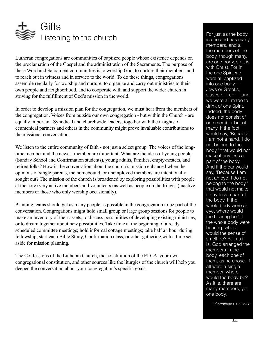

Lutheran congregations are communities of baptized people whose existence depends on the proclamation of the Gospel and the administration of the Sacraments. The purpose of these Word and Sacrament communities is to worship God, to nurture their members, and to reach out in witness and in service to the world. To do these things, congregations assemble regularly for worship and nurture, to organize and carry out ministries to their own people and neighborhood, and to cooperate with and support the wider church in striving for the fulfillment of God's mission in the world.

In order to develop a mission plan for the congregation, we must hear from the members of the congregation. Voices from outside our own congregation - but within the Church - are equally important. Synodical and churchwide leaders, together with the insights of ecumenical partners and others in the community might prove invaluable contributions to the missional conversation.

We listen to the entire community of faith - not just a select group. The voices of the longtime member and the newest member are important. What are the ideas of young people (Sunday School and Confirmation students), young adults, families, empty-nesters, and retired folks? How is the conversation about the church's mission enhanced when the opinions of single parents, the homebound, or unemployed members are intentionally sought out? The mission of the church is broadened by exploring possibilities with people at the core (very active members and volunteers) as well as people on the fringes (inactive members or those who only worship occasionally).

Planning teams should get as many people as possible in the congregation to be part of the conversation. Congregations might hold small group or large group sessions for people to make an inventory of their assets, to discuss possibilities of developing existing ministries, or to dream together about new possibilities. Take time at the beginning of already scheduled committee meetings; hold informal cottage meetings; take half an hour during fellowship; start each Bible Study, Confirmation class, or other gathering with a time set aside for mission planning.

The Confessions of the Lutheran Church, the constitution of the ELCA, your own congregational constitution, and other sources like the liturgies of the church will help you deepen the conversation about your congregation's specific goals.

For just as the body is one and has many members, and all the members of the body, though many, are one body, so it is with Christ. For in the one Spirit we were all baptized into one body — Jews or Greeks, slaves or free — and we were all made to drink of one Spirit. Indeed, the body does not consist of one member but of many. If the foot would say, "Because I am not a hand, I do not belong to the body," that would not make it any less a part of the body. And if the ear would say, "Because I am not an eye, I do not belong to the body," that would not make it any less a part of the body. If the whole body were an eye, where would the hearing be? If the whole body were hearing, where would the sense of smell be? But as it is, God arranged the members in the body, each one of them, as he chose. If all were a single member, where would the body be? As it is, there are many members, yet one body.

*1 Corinthians 12:12-20*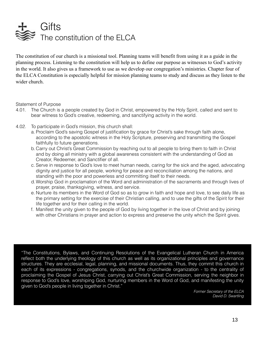

The constitution of our church is a missional tool. Planning teams will benefit from using it as a guide in the planning process. Listening to the constitution will help us to define our purpose as witnesses to God's activity in the world. It also gives us a framework to use as we develop our congregation's ministries. Chapter four of the ELCA Constitution is especially helpful for mission planning teams to study and discuss as they listen to the wider church.

Statement of Purpose

- 4.01. The Church is a people created by God in Christ, empowered by the Holy Spirit, called and sent to bear witness to God's creative, redeeming, and sanctifying activity in the world.
- 4.02. To participate in God's mission, this church shall:
	- a. Proclaim God's saving Gospel of justification by grace for Christ's sake through faith alone, according to the apostolic witness in the Holy Scripture, preserving and transmitting the Gospel faithfully to future generations.
	- b.Carry out Christ's Great Commission by reaching out to all people to bring them to faith in Christ and by doing all ministry with a global awareness consistent with the understanding of God as Creator, Redeemer, and Sanctifier of all.
	- c. Serve in response to God's love to meet human needs, caring for the sick and the aged, advocating dignity and justice for all people, working for peace and reconciliation among the nations, and standing with the poor and powerless and committing itself to their needs.
	- d.Worship God in proclamation of the Word and administration of the sacraments and through lives of prayer, praise, thanksgiving, witness, and service.
	- e. Nurture its members in the Word of God so as to grow in faith and hope and love, to see daily life as the primary setting for the exercise of their Christian calling, and to use the gifts of the Spirit for their life together and for their calling in the world.
	- f. Manifest the unity given to the people of God by living together in the love of Christ and by joining with other Christians in prayer and action to express and preserve the unity which the Spirit gives.

"The Constitutions, Bylaws, and Continuing Resolutions of the Evangelical Lutheran Church in America reflect both the underlying theology of this church as well as its organizational principles and governance structures. They are ecclesial, legal, planning, and missional documents. Thus, they commit this church in each of its expressions - congregations, synods, and the churchwide organization - to the centrality of proclaiming the Gospel of Jesus Christ, carrying out Christ's Great Commission, serving the neighbor in response to God's love, worshiping God, nurturing members in the Word of God, and manifesting the unity given to God's people in living together in Christ."

> *Former Secretary of the ELCA David D. Swartling*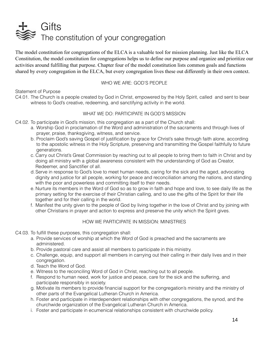

The model constitution for congregations of the ELCA is a valuable tool for mission planning. Just like the ELCA Constitution, the model constitution for congregations helps us to define our purpose and organize and prioritize our activities around fulfilling that purpose. Chapter four of the model constitution lists common goals and functions shared by every congregation in the ELCA, but every congregation lives these out differently in their own context.

#### WHO WE ARE: GOD'S PEOPLE

#### Statement of Purpose

C4.01. The Church is a people created by God in Christ, empowered by the Holy Spirit, called and sent to bear witness to God's creative, redeeming, and sanctifying activity in the world.

#### WHAT WE DO: PARTICIPATE IN GOD'S MISSION

- C4.02. To participate in God's mission, this congregation as a part of the Church shall:
	- a. Worship God in proclamation of the Word and administration of the sacraments and through lives of prayer, praise, thanksgiving, witness, and service.
	- b. Proclaim God's saving Gospel of justification by grace for Christ's sake through faith alone, according to the apostolic witness in the Holy Scripture, preserving and transmitting the Gospel faithfully to future generations.
	- c. Carry out Christ's Great Commission by reaching out to all people to bring them to faith in Christ and by doing all ministry with a global awareness consistent with the understanding of God as Creator, Redeemer, and Sanctifier of all.
	- d.Serve in response to God's love to meet human needs, caring for the sick and the aged, advocating dignity and justice for all people, working for peace and reconciliation among the nations, and standing with the poor and powerless and committing itself to their needs.
	- e. Nurture its members in the Word of God so as to grow in faith and hope and love, to see daily life as the primary setting for the exercise of their Christian calling, and to use the gifts of the Spirit for their life together and for their calling in the world.
	- f. Manifest the unity given to the people of God by living together in the love of Christ and by joining with other Christians in prayer and action to express and preserve the unity which the Spirit gives.

#### HOW WE PARTICIPATE IN MISSION: MINISTRIES

#### C4.03. To fulfill these purposes, this congregation shall:

- a. Provide services of worship at which the Word of God is preached and the sacraments are administered.
- b. Provide pastoral care and assist all members to participate in this ministry.
- c. Challenge, equip, and support all members in carrying out their calling in their daily lives and in their congregation.
- d. Teach the Word of God.
- e. Witness to the reconciling Word of God in Christ, reaching out to all people.
- f. Respond to human need, work for justice and peace, care for the sick and the suffering, and participate responsibly in society.
- g. Motivate its members to provide financial support for the congregation's ministry and the ministry of other parts of the Evangelical Lutheran Church in America.
- h. Foster and participate in interdependent relationships with other congregations, the synod, and the churchwide organization of the Evangelical Lutheran Church in America.
- i. Foster and participate in ecumenical relationships consistent with churchwide policy.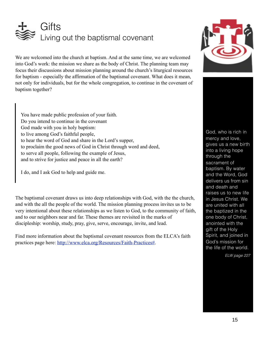

We are welcomed into the church at baptism. And at the same time, we are welcomed into God's work: the mission we share as the body of Christ. The planning team may focus their discussions about mission planning around the church's liturgical resources for baptism - especially the affirmation of the baptismal covenant. What does it mean, not only for individuals, but for the whole congregation, to continue in the covenant of baptism together?

You have made public profession of your faith. Do you intend to continue in the covenant God made with you in holy baptism: to live among God's faithful people, to hear the word of God and share in the Lord's supper, to proclaim the good news of God in Christ through word and deed, to serve all people, following the example of Jesus, and to strive for justice and peace in all the earth?

I do, and I ask God to help and guide me.

The baptismal covenant draws us into deep relationships with God, with the the church, and with the all the people of the world. The mission planning process invites us to be very intentional about these relationships as we listen to God, to the community of faith, and to our neighbors near and far. These themes are revisited in the marks of discipleship: worship, study, pray, give, serve, encourage, invite, and lead.

Find more information about the baptismal covenant resources from the ELCA's faith practices page here:<http://www.elca.org/Resources/Faith-Practices#>.



God, who is rich in mercy and love, gives us a new birth into a living hope through the sacrament of baptism. By water and the Word, God delivers us from sin and death and raises us to new life in Jesus Christ. We are united with all the baptized in the one body of Christ, anointed with the gift of the Holy Spirit, and joined in God's mission for the life of the world.

*ELW page 227*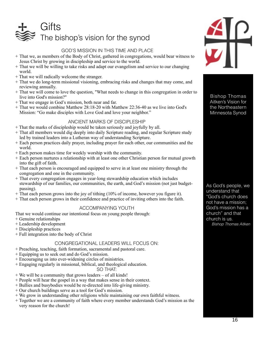# **Gifts** The bishop's vision for the synod

#### GOD'S MISSION IN THIS TIME AND PLACE

- + That we, as members of the Body of Christ, gathered in congregations, would bear witness to Jesus Christ by growing in discipleship and service to the world.
- + That we will be willing to take risks and adapt our evangelism and service to our changing world.
- + That we will radically welcome the stranger.
- + That we do long-term missional visioning, embracing risks and changes that may come, and reviewing annually.
- + That we will come to love the question, "What needs to change in this congregation in order to live into God's mission?"
- + That we engage in God's mission, both near and far.
- + That we would combine Matthew 28:18-20 with Matthew 22:36-40 as we live into God's Mission: "Go make disciples with Love God and love your neighbor."

#### ANCIENT MARKS OF DISCIPLESHIP

- + That the marks of discipleship would be taken seriously and joyfully by all.
- + That all members would dig deeply into daily Scripture reading, and regular Scripture study led by trained leaders into a Lutheran way of understanding Scripture.
- + Each person practices daily prayer, including prayer for each other, our communities and the world.
- + Each person makes time for weekly worship with the community.
- + Each person nurtures a relationship with at least one other Christian person for mutual growth into the gift of faith.
- + That each person is encouraged and equipped to serve in at least one ministry through the congregation and one in the community.
- + That every congregation engages in year-long stewardship education which includes stewardship of our families, our communities, the earth, and God's mission (not just budgetpassing).
- + That each person grows into the joy of tithing (10% of income, however you figure it).
- + That each person grows in their confidence and practice of inviting others into the faith.

#### ACCOMPANYING YOUTH

That we would continue our intentional focus on young people through:

- + Genuine relationships
- + Leadership development
- + Discipleship practices
- + Full integration into the body of Christ

#### CONGREGATIONAL LEADERS WILL FOCUS ON:

- + Preaching, teaching, faith formation, sacramental and pastoral care.
- + Equipping us to seek out and do God's mission.
- + Encouraging us into ever-widening circles of ministries.
- + Engaging regularly in missional, biblical, and theological education.

#### SO THAT:

- + We will be a community that grows leaders of all kinds!
- + People will hear the gospel in a way that makes sense in their context.
- + Bullies and busybodies would be re-directed into life-giving ministry.
- + Our church buildings serve as a tool for God's mission.
- + We grow in understanding other religions while maintaining our own faithful witness.
- + Together we are a community of faith where every member understands God's mission as the very reason for the church!



Bishop Thomas Aitken's Vision for the Northeastern Minnesota Synod

As God's people, we understand that "God's church does not have a mission; God's mission has a church" and that church is us. *Bishop Thomas Aitken*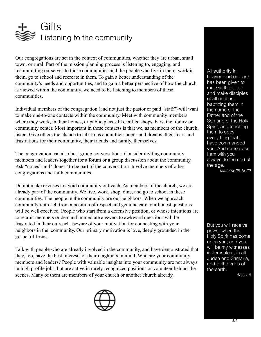

Our congregations are set in the context of communities, whether they are urban, small town, or rural. Part of the mission planning process is listening to, engaging, and recommitting ourselves to those communities and the people who live in them, work in them, go to school and recreate in them. To gain a better understanding of the community's needs and opportunities, and to gain a better perspective of how the church is viewed within the community, we need to be listening to members of these communities.

Individual members of the congregation (and not just the pastor or paid "staff") will want to make one-to-one contacts within the community. Meet with community members where they work, in their homes, or public places like coffee shops, bars, the library or community center. Most important in these contacts is that we, as members of the church, listen. Give others the chance to talk to us about their hopes and dreams, their fears and frustrations for their community, their friends and family, themselves.

The congregation can also host group conversations. Consider inviting community members and leaders together for a forum or a group discussion about the community. Ask "nones" and "dones" to be part of the conversation. Involve members of other congregations and faith communities.

Do not make excuses to avoid community outreach. As members of the church, we are already part of the community. We live, work, shop, dine, and go to school in these communities. The people in the community are our neighbors. When we approach community outreach from a position of respect and genuine care, our honest questions will be well-received. People who start from a defensive position, or whose intentions are to recruit members or demand immediate answers to awkward questions will be frustrated in their outreach. beware of your motivation for connecting with your neighbors in the community. Our primary motivation is love, deeply grounded in the gospel of Jesus.

Talk with people who are already involved in the community, and have demonstrated that they, too, have the best interests of their neighbors in mind. Who are your community members and leaders? People with valuable insights into your community are not always in high profile jobs, but are active in rarely recognized positions or volunteer behind-thescenes. Many of them are members of your church or another church already.



All authority in heaven and on earth has been given to me. Go therefore and make disciples of all nations, baptizing them in the name of the Father and of the Son and of the Holy Spirit, and teaching them to obey everything that I have commanded you. And remember, I am with you always, to the end of the age. *Matthew 28:18-20*

But you will receive power when the Holy Spirit has come upon you; and you will be my witnesses in Jerusalem, in all Judea and Samaria, and to the ends of the earth.

*Acts 1:8*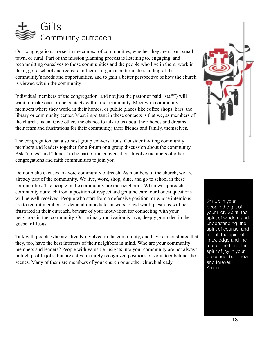

Our congregations are set in the context of communities, whether they are urban, small town, or rural. Part of the mission planning process is listening to, engaging, and recommitting ourselves to those communities and the people who live in them, work in them, go to school and recreate in them. To gain a better understanding of the community's needs and opportunities, and to gain a better perspective of how the church is viewed within the community

Individual members of the congregation (and not just the pastor or paid "staff") will want to make one-to-one contacts within the community. Meet with community members where they work, in their homes, or public places like coffee shops, bars, the library or community center. Most important in these contacts is that we, as members of the church, listen. Give others the chance to talk to us about their hopes and dreams, their fears and frustrations for their community, their friends and family, themselves.

The congregation can also host group conversations. Consider inviting community members and leaders together for a forum or a group discussion about the community. Ask "nones" and "dones" to be part of the conversation. Involve members of other congregations and faith communities to join you.

Do not make excuses to avoid community outreach. As members of the church, we are already part of the community. We live, work, shop, dine, and go to school in these communities. The people in the community are our neighbors. When we approach community outreach from a position of respect and genuine care, our honest questions will be well-received. People who start from a defensive position, or whose intentions are to recruit members or demand immediate answers to awkward questions will be frustrated in their outreach. beware of your motivation for connecting with your neighbors in the community. Our primary motivation is love, deeply grounded in the gospel of Jesus.

Talk with people who are already involved in the community, and have demonstrated that they, too, have the best interests of their neighbors in mind. Who are your community members and leaders? People with valuable insights into your community are not always in high profile jobs, but are active in rarely recognized positions or volunteer behind-thescenes. Many of them are members of your church or another church already.



Stir up in your people the gift of your Holy Spirit: the spirit of wisdom and understanding, the spirit of counsel and might, the spirit of knowledge and the fear of the Lord, the spirit of joy in your presence, both now and forever. Amen.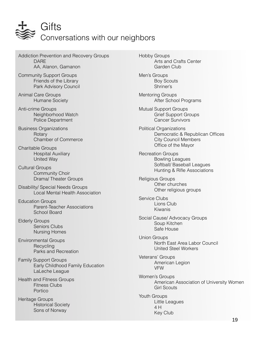

Addiction Prevention and Recovery Groups DARE AA, Alanon, Gamanon

Community Support Groups Friends of the Library Park Advisory Council

Animal Care Groups Humane Society

Anti-crime Groups Neighborhood Watch Police Department

Business Organizations **Rotary** Chamber of Commerce

Charitable Groups Hospital Auxiliary United Way

Cultural Groups Community Choir Drama/ Theater Groups

Disability/ Special Needs Groups Local Mental Health Association

Education Groups Parent-Teacher Associations School Board

Elderly Groups Seniors Clubs Nursing Homes

Environmental Groups **Recycling** Parks and Recreation

Family Support Groups Early Childhood Family Education LaLeche League

Health and Fitness Groups Fitness Clubs Portico

Heritage Groups Historical Society Sons of Norway

Hobby Groups Arts and Crafts Center Garden Club Men's Groups Boy Scouts Shriner's Mentoring Groups After School Programs Mutual Support Groups Grief Support Groups Cancer Survivors Political Organizations Democratic & Republican Offices City Council Members Office of the Mayor Recreation Groups Bowling Leagues Softball/ Baseball Leagues Hunting & Rifle Associations Religious Groups Other churches Other religious groups Service Clubs Lions Club Kiwanis Social Cause/ Advocacy Groups Soup Kitchen Safe House Union Groups North East Area Labor Council United Steel Workers Veterans' Groups American Legion VFW Women's Groups American Association of University Women Girl Scouts Youth Groups Little Leagues 4 H Key Club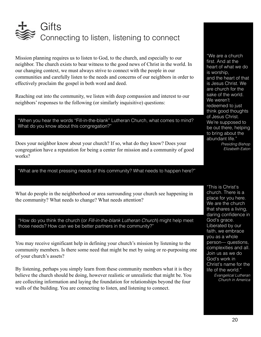

Mission planning requires us to listen to God, to the church, and especially to our neighbor. The church exists to bear witness to the good news of Christ in the world. In our changing context, we must always strive to connect with the people in our communities and carefully listen to the needs and concerns of our neighbors in order to effectively proclaim the gospel in both word and deed.

Reaching out into the community, we listen with deep compassion and interest to our neighbors' responses to the following (or similarly inquisitive) questions:

"When you hear the words "Fill-in-the-blank" Lutheran Church, what comes to mind? What do you know about this congregation?"

Does your neighbor know about your church? If so, what do they know? Does your congregation have a reputation for being a center for mission and a community of good works?

"What are the most pressing needs of this community? What needs to happen here?"

What do people in the neighborhood or area surrounding your church see happening in the community? What needs to change? What needs attention?

"How do you think the church (or *Fill-in-the-blank Lutheran Church*) might help meet those needs? How can we be better partners in the community?"

You may receive significant help in defining your church's mission by listening to the community members. Is there some need that might be met by using or re-purposing one of your church's assets?

By listening, perhaps you simply learn from these community members what it is they believe the church should be doing, however realistic or unrealistic that might be. You are collecting information and laying the foundation for relationships beyond the four walls of the building. You are connecting to listen, and listening to connect.

"We are a church first. And at the heart of what we do is worship, and the heart of that is Jesus Christ. We are church for the sake of the world. We weren't redeemed to just think good thoughts of Jesus Christ. We're supposed to be out there, helping to bring about the abundant life." *Presiding Bishop* 

*Elizabeth Eaton*

"This is Christ's church. There is a place for you here. We are the church that shares a living, daring confidence in God's grace. Liberated by our faith, we embrace you as a whole person— questions, complexities and all. Join us as we do God's work in Christ's name for the life of the world." *Evangelical Lutheran Church in America*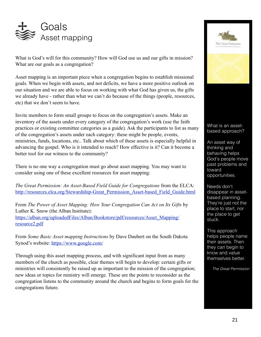

What is God's will for this community? How will God use us and our gifts in mission? What are our goals as a congregation?

Asset mapping is an important piece when a congregation begins to establish missional goals. When we begin with assets, and not deficits, we have a more positive outlook on our situation and we are able to focus on working with what God has given us, the gifts we already have - rather than what we can't do because of the things (people, resources, etc) that we don't seem to have.

Invite members to form small groups to focus on the congregation's assets. Make an inventory of the assets under every category of the congregation's work (use the faith practices or existing committee categories as a guide). Ask the participants to list as many of the congregation's assets under each category: these might be people, events, ministries, funds, locations, etc.. Talk about which of these assets is especially helpful in advancing the gospel. Who is it intended to reach? How effective is it? Can it become a better tool for our witness to the community?

There is no one way a congregation must go about asset mapping. You may want to consider using one of these excellent resources for asset mapping:

*The Great Permission: An Asset-Based Field Guide for Congregations* from the ELCA: [http://resources.elca.org/Stewardship-Great\\_Permission\\_Asset-based\\_Field\\_Guide.html](http://resources.elca.org/Stewardship-Great_Permission_Asset-based_Field_Guide.html)

From *The Power of Asset Mapping: How Your Congregation Can Act on Its Gifts* by Luther K. Snow (the Alban Institute): [https://alban.org/uploadedFiles/Alban/Bookstore/pdf/resources/Asset\\_Mapping/](https://alban.org/uploadedFiles/Alban/Bookstore/pdf/resources/Asset_Mapping/resource2.pdf) [resource2.pdf](https://alban.org/uploadedFiles/Alban/Bookstore/pdf/resources/Asset_Mapping/resource2.pdf)

From *Some Basic Asset mapping Instructions* by Dave Daubert on the South Dakota Synod's website: [https://www.google.com/](https://www.google.com/url?sa=t&rct=j&q=&esrc=s&source=web&cd=3&cad=rja&uact=8&ved=0ahUKEwiJyM2n8frLAhVFFx4KHdEMAykQFggsMAI&url=http%3A%2F%2Fwww.sdsynod.org%2Fwp-content%2Fuploads%2F2012%2F05%2Fasset-mapping-guide.pdf&usg=AFQjCNFFrLsPk3qEdYKXq6GUPuNYv53csA)

Through using this asset mapping process, and with significant input from as many members of the church as possible, clear themes will begin to develop: certain gifts or ministries will consistently be raised up as important to the mission of the congregation; new ideas or topics for ministry will emerge. These are the points to reconsider as the congregation listens to the community around the church and begins to form goals for the congregations future.



What is an assetbased approach?

An asset way of thinking and behaving helps God's people move past problems and toward opportunities.

Needs don't disappear in assetbased planning. They're just not the place to start, nor the place to get stuck.

This approach helps people name their assets. Then they can begin to know and value themselves better.

*The Great Permission*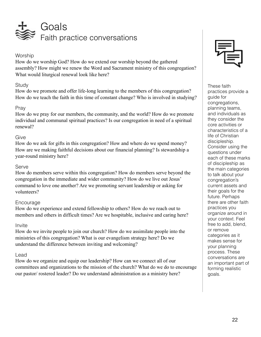

#### Worship

How do we worship God? How do we extend our worship beyond the gathered assembly? How might we renew the Word and Sacrament ministry of this congregation? What would liturgical renewal look like here?

#### **Study**

How do we promote and offer life-long learning to the members of this congregation? How do we teach the faith in this time of constant change? Who is involved in studying?

#### Pray

How do we pray for our members, the community, and the world? How do we promote individual and communal spiritual practices? Is our congregation in need of a spiritual renewal?

#### Give

How do we ask for gifts in this congregation? How and where do we spend money? How are we making faithful decisions about our financial planning? Is stewardship a year-round ministry here?

#### Serve

How do members serve within this congregation? How do members serve beyond the congregation in the immediate and wider community? How do we live out Jesus' command to love one another? Are we promoting servant leadership or asking for volunteers?

#### Encourage

How do we experience and extend fellowship to others? How do we reach out to members and others in difficult times? Are we hospitable, inclusive and caring here?

#### Invite

How do we invite people to join our church? How do we assimilate people into the ministries of this congregation? What is our evangelism strategy here? Do we understand the difference between inviting and welcoming?

#### Lead

How do we organize and equip our leadership? How can we connect all of our committees and organizations to the mission of the church? What do we do to encourage our pastor/ rostered leader? Do we understand administration as a ministry here?

These faith practices provide a guide for congregations, planning teams, and individuals as they consider the core activities or characteristics of a life of Christian discipleship. Consider using the questions under each of these marks of discipleship as the main categories to talk about your congregation's current assets and their goals for the future. Perhaps there are other faith practices you organize around in your context. Feel free to add, blend, or remove categories as it makes sense for your planning process. These conversations are an important part of forming realistic goals.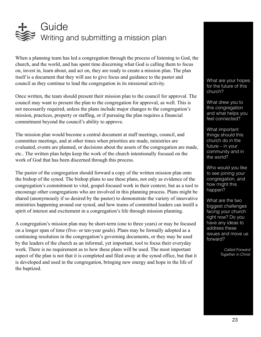# Guide Writing and submitting a mission plan

When a planning team has led a congregation through the process of listening to God, the church, and the world, and has spent time discerning what God is calling them to focus on, invest in, learn about, and act on, they are ready to create a mission plan. The plan itself is a document that they will use to give focus and guidance to the pastor and council as they continue to lead the congregation in its missional activity.

Once written, the team should present their mission plan to the council for approval. The council may want to present the plan to the congregation for approval, as well. This is not necessarily required, unless the plans include major changes to the congregation's mission, practices, property or staffing, or if pursuing the plan requires a financial commitment beyond the council's ability to approve.

The mission plan would become a central document at staff meetings, council, and committee meetings, and at other times when priorities are made, ministries are evaluated, events are planned, or decisions about the assets of the congregation are made, etc.. The written plan helps keep the work of the church intentionally focused on the work of God that has been discerned through this process.

The pastor of the congregation should forward a copy of the written mission plan onto the bishop of the synod. The bishop plans to use these plans, not only as evidence of the congregation's commitment to vital, gospel-focused work in their context, but as a tool to encourage other congregations who are involved in this planning process. Plans might be shared (anonymously if so desired by the pastor) to demonstrate the variety of innovative ministries happening around our synod, and how teams of committed leaders can instill a spirit of interest and excitement in a congregation's life through mission planning.

A congregation's mission plan may be short-term (one to three years) or may be focused on a longer span of time (five- or ten-year goals). Plans may be formally adopted as a continuing resolution in the congregation's governing documents, or they may be used by the leaders of the church as an informal, yet important, tool to focus their everyday work. There is no requirement as to how these plans will be used. The most important aspect of the plan is not that it is completed and filed away at the synod office, but that it is developed and used in the congregation, bringing new energy and hope in the life of the baptized.

What are your hopes for the future of this church?

What drew you to this congregation and what helps you feel connected?

What important things should this church do in the future – in your community and in the world?

Who would you like to see joining your congregation, and how might this happen?

What are the two biggest challenges facing your church right now? Do you have any ideas to address these issues and move us forward?

> *Called Forward Together in Christ*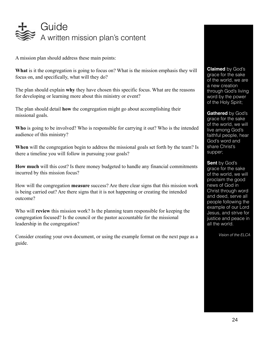

A mission plan should address these main points:

**What** is it the congregation is going to focus on? What is the mission emphasis they will focus on, and specifically, what will they do?

The plan should explain **why** they have chosen this specific focus. What are the reasons for developing or learning more about this ministry or event?

The plan should detail **how** the congregation might go about accomplishing their missional goals.

**Who** is going to be involved? Who is responsible for carrying it out? Who is the intended audience of this ministry?

**When** will the congregation begin to address the missional goals set forth by the team? Is there a timeline you will follow in pursuing your goals?

**How much** will this cost? Is there money budgeted to handle any financial commitments incurred by this mission focus?

How will the congregation **measure** success? Are there clear signs that this mission work is being carried out? Are there signs that it is not happening or creating the intended outcome?

Who will **review** this mission work? Is the planning team responsible for keeping the congregation focused? Is the council or the pastor accountable for the missional leadership in the congregation?

Consider creating your own document, or using the example format on the next page as a guide.

**Claimed** by God's grace for the sake of the world, we are a new creation through God's living word by the power of the Holy Spirit;

**Gathered** by God's grace for the sake of the world, we will live among God's faithful people, hear God's word and share Christ's supper;

**Sent** by God's grace for the sake of the world, we will proclaim the good news of God in Christ through word and deed, serve all people following the example of our Lord Jesus, and strive for justice and peace in all the world.

*Vision of the ELCA*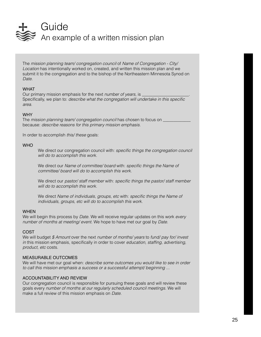

The *mission planning team/ congregation council* of *Name of Congregation - City/ Location* has intentionally worked on, created, and written this mission plan and we submit it to the congregation and to the bishop of the Northeastern Minnesota Synod on *Date*.

#### **WHAT**

Our primary mission emphasis for the next *number of years*, is Specifically, we plan to: *describe what the congregation will undertake in this specific area.*

#### **WHY**

The *mission planning team/ congregation council* has chosen to focus on because: *describe reasons for this primary mission emphasis*.

In order to accomplish *this/ these* goals:

#### **WHO**

 We direct our congregation council with: *specific things the congregation council will do to accomplish this work.*

We direct our *Name of committee/ board* with: *specific things the Name of committee/ board will do to accomplish this work.*

We direct our *pastor/ staff member* with: *specific things the pastor/ staff member will do to accomplish this work.*

We direct *Name of individuals, groups, etc* with: *specific things the Name of individuals, groups, etc will do to accomplish this work.*

#### WHEN

We will begin this process by *Date*. We will receive regular updates on this work *every number of months at meeting/ event.* We hope to have met our goal by *Date*.

#### COST

We will budget *\$ Amount* over the next *number of months/ years* to *fund/ pay for/ invest in* this mission emphasis, specifically in order to cover *education, staffing, advertising, product, etc* costs.

#### MEASURABLE OUTCOMES

We will have met our goal when: *describe some outcomes you would like to see in order to call this mission emphasis a success or a successful attempt/ beginning ...* 

#### ACCOUNTABILITY AND REVIEW

Our congregation council is responsible for pursuing these goals and will review these goals every *number of months at our regularly scheduled council meetings*. We will make a full review of this mission emphasis on *Date*.